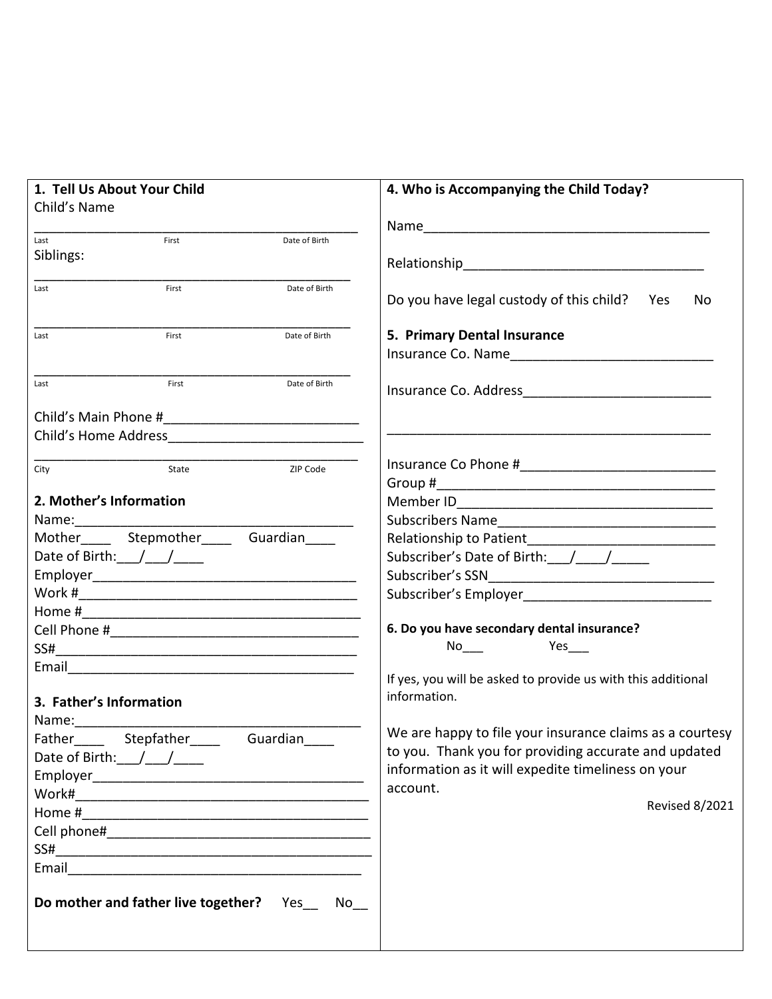| 1. Tell Us About Your Child                 | 4. Who is Accompanying the Child Today?                                                                                                                                                                                                                      |  |  |  |
|---------------------------------------------|--------------------------------------------------------------------------------------------------------------------------------------------------------------------------------------------------------------------------------------------------------------|--|--|--|
| Child's Name                                |                                                                                                                                                                                                                                                              |  |  |  |
|                                             |                                                                                                                                                                                                                                                              |  |  |  |
| First<br>Date of Birth<br>Last<br>Siblings: |                                                                                                                                                                                                                                                              |  |  |  |
|                                             |                                                                                                                                                                                                                                                              |  |  |  |
| First<br>Date of Birth<br>Last              | Do you have legal custody of this child? Yes<br>No.                                                                                                                                                                                                          |  |  |  |
| First<br>Date of Birth<br>Last              | 5. Primary Dental Insurance<br>Insurance Co. Name and the control of the control of the control of the control of the control of the control of the control of the control of the control of the control of the control of the control of the control of the |  |  |  |
| Date of Birth<br>First<br>Last              |                                                                                                                                                                                                                                                              |  |  |  |
|                                             |                                                                                                                                                                                                                                                              |  |  |  |
|                                             |                                                                                                                                                                                                                                                              |  |  |  |
| ZIP Code<br>State<br>City                   |                                                                                                                                                                                                                                                              |  |  |  |
| 2. Mother's Information                     |                                                                                                                                                                                                                                                              |  |  |  |
|                                             |                                                                                                                                                                                                                                                              |  |  |  |
| Mother______ Stepmother______ Guardian_____ |                                                                                                                                                                                                                                                              |  |  |  |
| Date of Birth: $1/2$                        |                                                                                                                                                                                                                                                              |  |  |  |
|                                             |                                                                                                                                                                                                                                                              |  |  |  |
|                                             |                                                                                                                                                                                                                                                              |  |  |  |
|                                             |                                                                                                                                                                                                                                                              |  |  |  |
|                                             | 6. Do you have secondary dental insurance?                                                                                                                                                                                                                   |  |  |  |
|                                             | Yes                                                                                                                                                                                                                                                          |  |  |  |
|                                             |                                                                                                                                                                                                                                                              |  |  |  |
|                                             | If yes, you will be asked to provide us with this additional                                                                                                                                                                                                 |  |  |  |
| 3. Father's Information                     | information.                                                                                                                                                                                                                                                 |  |  |  |
|                                             |                                                                                                                                                                                                                                                              |  |  |  |
| Father Stepfather<br>Guardian               | We are happy to file your insurance claims as a courtesy                                                                                                                                                                                                     |  |  |  |
| Date of Birth: /__/___                      | to you. Thank you for providing accurate and updated                                                                                                                                                                                                         |  |  |  |
|                                             | information as it will expedite timeliness on your                                                                                                                                                                                                           |  |  |  |
|                                             | account.                                                                                                                                                                                                                                                     |  |  |  |
|                                             | <b>Revised 8/2021</b>                                                                                                                                                                                                                                        |  |  |  |
|                                             |                                                                                                                                                                                                                                                              |  |  |  |
|                                             |                                                                                                                                                                                                                                                              |  |  |  |
|                                             |                                                                                                                                                                                                                                                              |  |  |  |
| Do mother and father live together? Yes No  |                                                                                                                                                                                                                                                              |  |  |  |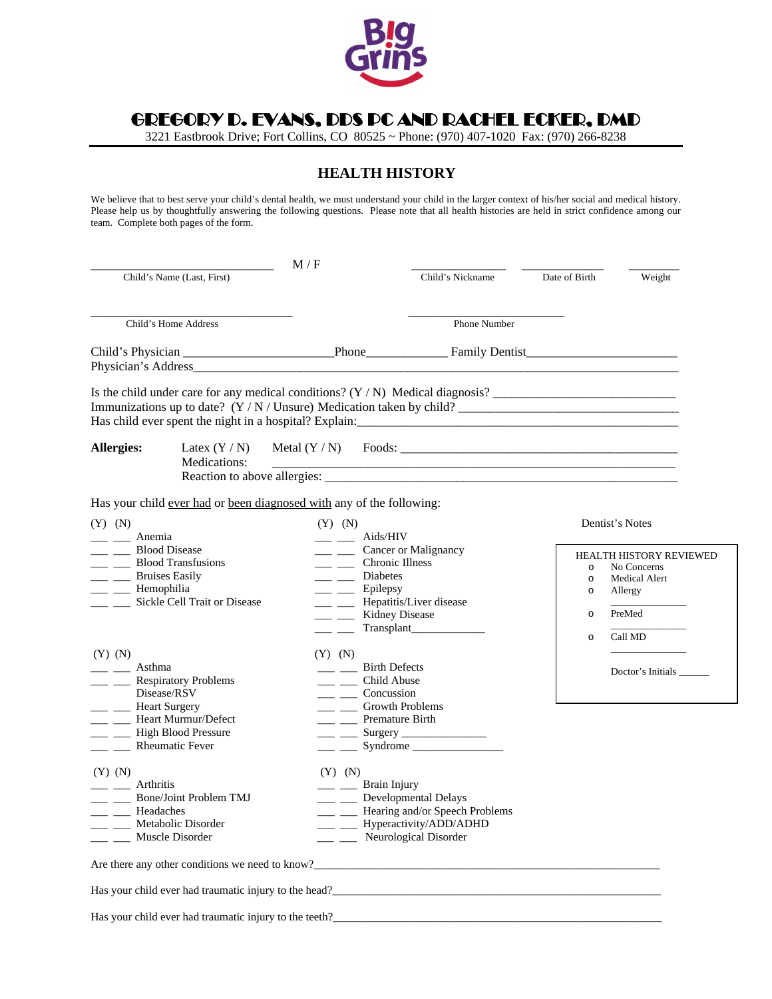

GREGORY D. EVANS, DDS PC AND RACHEL ECKER, DMD

3221 Eastbrook Drive; Fort Collins, CO 80525 ~ Phone: (970) 407-1020 Fax: (970) 266-8238

### **HEALTH HISTORY**

We believe that to best serve your child's dental health, we must understand your child in the larger context of his/her social and medical history. Please help us by thoughtfully answering the following questions. Please note that all health histories are held in strict confidence among our team. Complete both pages of the form.

|                                                                                                                                                                                                                   | M/F                                                                                                                                                                                                                                      |                                  |                                                     |                                                                                                |
|-------------------------------------------------------------------------------------------------------------------------------------------------------------------------------------------------------------------|------------------------------------------------------------------------------------------------------------------------------------------------------------------------------------------------------------------------------------------|----------------------------------|-----------------------------------------------------|------------------------------------------------------------------------------------------------|
| Child's Name (Last, First)                                                                                                                                                                                        |                                                                                                                                                                                                                                          | Child's Nickname                 | Date of Birth                                       | Weight                                                                                         |
| Child's Home Address                                                                                                                                                                                              |                                                                                                                                                                                                                                          | Phone Number                     |                                                     |                                                                                                |
|                                                                                                                                                                                                                   |                                                                                                                                                                                                                                          |                                  |                                                     |                                                                                                |
|                                                                                                                                                                                                                   |                                                                                                                                                                                                                                          |                                  |                                                     |                                                                                                |
| Allergies:<br>Latex $(Y/N)$<br>Medications:                                                                                                                                                                       | Metal $(Y/N)$                                                                                                                                                                                                                            |                                  |                                                     |                                                                                                |
| Has your child ever had or been diagnosed with any of the following:                                                                                                                                              |                                                                                                                                                                                                                                          |                                  |                                                     |                                                                                                |
| $(Y)$ $(N)$<br>Anemia                                                                                                                                                                                             | $(Y)$ $(N)$<br>$\frac{1}{\sqrt{2}}$ Aids/HIV                                                                                                                                                                                             |                                  |                                                     | Dentist's Notes                                                                                |
| <b>Blood Disease</b><br><b>Blood Transfusions</b><br><b>Bruises Easily</b><br>$\overline{\phantom{a}}$<br>Hemophilia<br>Sickle Cell Trait or Disease<br>$\mathcal{L}^{\text{max}}$ and $\mathcal{L}^{\text{max}}$ | __ __ Cancer or Malignancy<br>$\frac{1}{\sqrt{1-\frac{1}{2}}}$ Chronic Illness<br>__ _ Diabetes<br>__ __ Epilepsy<br><u> 1999 - Jan Ja</u><br>Kidney Disease<br>$\overline{\phantom{a}}$<br><u>and the state</u>                         | Hepatitis/Liver disease          | $\circ$<br>$\circ$<br>$\circ$<br>$\circ$<br>$\circ$ | HEALTH HISTORY REVIEWED<br>No Concerns<br><b>Medical Alert</b><br>Allergy<br>PreMed<br>Call MD |
| $(Y)$ $(N)$<br>Asthma<br><b>Respiratory Problems</b><br>Disease/RSV<br><b>Heart Surgery</b><br>Heart Murmur/Defect<br>$\frac{1}{2}$ and $\frac{1}{2}$<br><b>High Blood Pressure</b><br>_ _ Rheumatic Fever        | $(Y)$ $(N)$<br><b>Birth Defects</b><br>__ _ Child Abuse<br>$\frac{1}{\sqrt{2}}$ Concussion<br>__ __ Growth Problems<br>__ _ Premature Birth<br>$\frac{1}{\sqrt{1-\frac{1}{2}}}\frac{Surgery}{1-\frac{1}{2}}$<br>$\overline{\phantom{a}}$ | Syndrome                         |                                                     | Doctor's Initials                                                                              |
| $(Y)$ $(N)$<br>Arthritis<br><b>Bone/Joint Problem TMJ</b><br>$\overline{\phantom{a}}$<br>Headaches<br>___ ___ Metabolic Disorder<br>___ ___ Muscle Disorder                                                       | $(Y)$ $(N)$<br>__ __ Brain Injury<br>__ Developmental Delays<br>- Hyperactivity/ADD/ADHD<br>___ ___ Neurological Disorder                                                                                                                | - Hearing and/or Speech Problems |                                                     |                                                                                                |
| Are there any other conditions we need to know?                                                                                                                                                                   |                                                                                                                                                                                                                                          |                                  |                                                     |                                                                                                |
|                                                                                                                                                                                                                   |                                                                                                                                                                                                                                          |                                  |                                                     |                                                                                                |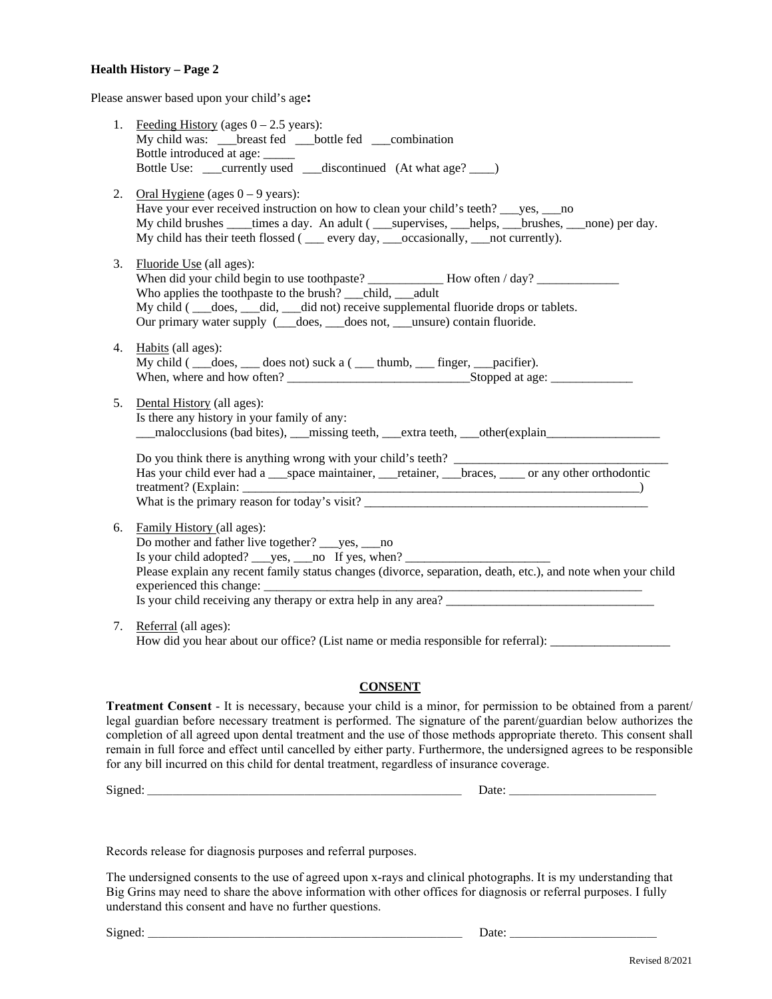#### **Health History – Page 2**

Please answer based upon your child's age**:** 

|    | 1. Feeding History (ages $0 - 2.5$ years):<br>My child was: ___ breast fed ___ bottle fed ___ combination                                                                                                                                                                                                                     |  |  |  |  |
|----|-------------------------------------------------------------------------------------------------------------------------------------------------------------------------------------------------------------------------------------------------------------------------------------------------------------------------------|--|--|--|--|
|    | 2. Oral Hygiene (ages $0 - 9$ years):<br>Have your ever received instruction on how to clean your child's teeth? ___yes, ___no<br>My child brushes _____times a day. An adult (_____supervises, __________brushes, _____none) per day.<br>My child has their teeth flossed ( __ every day, __occasionally, __ not currently). |  |  |  |  |
|    | 3. Fluoride Use (all ages):<br>Who applies the toothpaste to the brush? ____child, ____adult<br>My child ( __does, __did, __did not) receive supplemental fluoride drops or tablets.<br>Our primary water supply ( __does,  __does not,  __unsure) contain fluoride.                                                          |  |  |  |  |
|    | 4. Habits (all ages):<br>My child ( __does, __ does not) suck a ( __ thumb, __ finger, __pacifier).                                                                                                                                                                                                                           |  |  |  |  |
|    | 5. Dental History (all ages):<br>Is there any history in your family of any:<br>___malocclusions (bad bites), ___missing teeth, ___extra teeth, ___other(explain____________________                                                                                                                                          |  |  |  |  |
|    | Do you think there is anything wrong with your child's teeth? __________________<br>Has your child ever had a space maintainer, retainer, braces, such any other orthodontic<br>What is the primary reason for today's visit?                                                                                                 |  |  |  |  |
| 6. | Family History (all ages):<br>Do mother and father live together? _____ yes, _____ no<br>Is your child adopted? _____ yes, _____ no If yes, when? _______________________<br>Please explain any recent family status changes (divorce, separation, death, etc.), and note when your child<br>experienced this change:         |  |  |  |  |
|    | 7. Referral (all ages):<br>How did you hear about our office? (List name or media responsible for referral): __________________                                                                                                                                                                                               |  |  |  |  |

#### **CONSENT**

**Treatment Consent** - It is necessary, because your child is a minor, for permission to be obtained from a parent/ legal guardian before necessary treatment is performed. The signature of the parent/guardian below authorizes the completion of all agreed upon dental treatment and the use of those methods appropriate thereto. This consent shall remain in full force and effect until cancelled by either party. Furthermore, the undersigned agrees to be responsible for any bill incurred on this child for dental treatment, regardless of insurance coverage.

Signed: \_\_\_\_\_\_\_\_\_\_\_\_\_\_\_\_\_\_\_\_\_\_\_\_\_\_\_\_\_\_\_\_\_\_\_\_\_\_\_\_\_\_\_\_\_\_\_\_\_\_\_\_\_\_\_\_\_\_\_\_\_\_ Date: \_\_\_\_\_\_\_\_\_\_\_\_\_\_\_\_\_\_\_\_\_\_\_\_\_\_\_\_\_

Records release for diagnosis purposes and referral purposes.

The undersigned consents to the use of agreed upon x-rays and clinical photographs. It is my understanding that Big Grins may need to share the above information with other offices for diagnosis or referral purposes. I fully understand this consent and have no further questions.

Signed: \_\_\_\_\_\_\_\_\_\_\_\_\_\_\_\_\_\_\_\_\_\_\_\_\_\_\_\_\_\_\_\_\_\_\_\_\_\_\_\_\_\_\_\_\_\_\_\_\_\_\_\_\_\_\_\_\_\_\_\_\_\_ Date: \_\_\_\_\_\_\_\_\_\_\_\_\_\_\_\_\_\_\_\_\_\_\_\_\_\_\_\_\_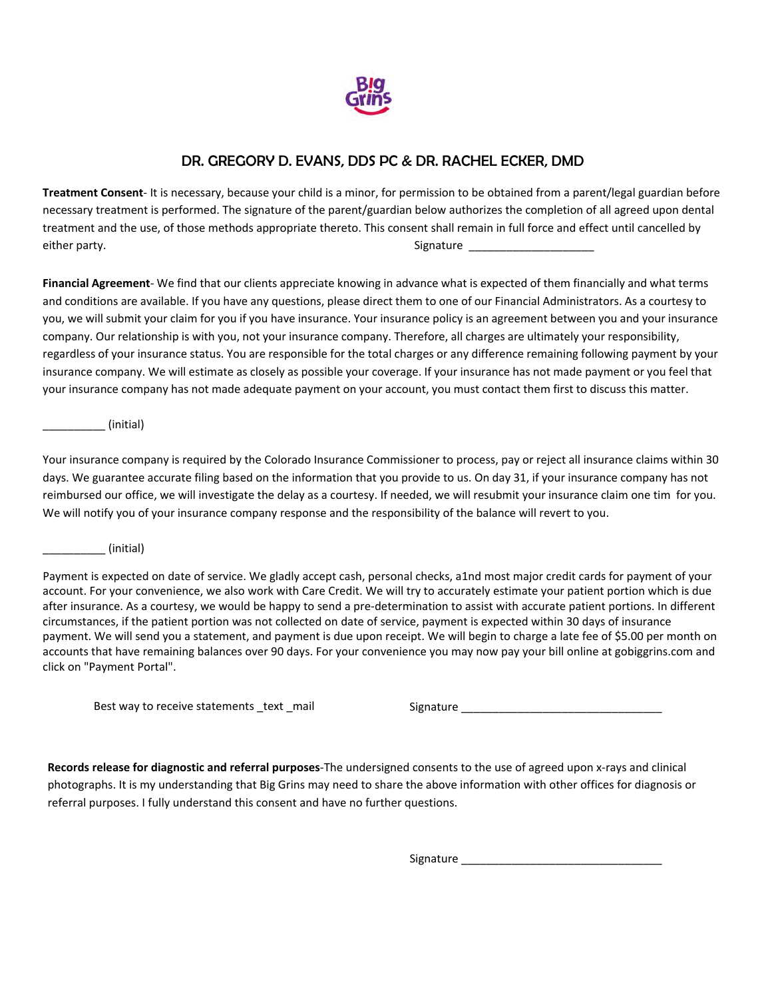

## DR. GREGORY D. EVANS, DDS PC & DR. RACHEL ECKER, DMD

**Treatment Consent**- It is necessary, because your child is a minor, for permission to be obtained from a parent/legal guardian before necessary treatment is performed. The signature of the parent/guardian below authorizes the completion of all agreed upon dental treatment and the use, of those methods appropriate thereto. This consent shall remain in full force and effect until cancelled by either party. The state of the state of the state of the Signature  $\frac{1}{\sqrt{2}}$ 

**Financial Agreement**- We find that our clients appreciate knowing in advance what is expected of them financially and what terms and conditions are available. If you have any questions, please direct them to one of our Financial Administrators. As a courtesy to you, we will submit your claim for you if you have insurance. Your insurance policy is an agreement between you and your insurance company. Our relationship is with you, not your insurance company. Therefore, all charges are ultimately your responsibility, regardless of your insurance status. You are responsible for the total charges or any difference remaining following payment by your insurance company. We will estimate as closely as possible your coverage. If your insurance has not made payment or you feel that your insurance company has not made adequate payment on your account, you must contact them first to discuss this matter.

 $(n$ initial)

Your insurance company is required by the Colorado Insurance Commissioner to process, pay or reject all insurance claims within 30 days. We guarantee accurate filing based on the information that you provide to us. On day 31, if your insurance company has not reimbursed our office, we will investigate the delay as a courtesy. If needed, we will resubmit your insurance claim one tim for you. We will notify you of your insurance company response and the responsibility of the balance will revert to you.

 $(n$ initial)

Payment is expected on date of service. We gladly accept cash, personal checks, a1nd most major credit cards for payment of your account. For your convenience, we also work with Care Credit. We will try to accurately estimate your patient portion which is due after insurance. As a courtesy, we would be happy to send a pre-determination to assist with accurate patient portions. In different circumstances, if the patient portion was not collected on date of service, payment is expected within 30 days of insurance payment. We will send you a statement, and payment is due upon receipt. We will begin to charge a late fee of \$5.00 per month on accounts that have remaining balances over 90 days. For your convenience you may now pay your bill online at gobiggrins.com and click on "Payment Portal".

Best way to receive statements \_text \_mail Signature \_\_\_\_\_\_\_\_\_\_\_\_\_\_\_\_\_\_\_\_\_\_\_\_\_\_\_

**Records release for diagnostic and referral purposes**-The undersigned consents to the use of agreed upon x-rays and clinical photographs. It is my understanding that Big Grins may need to share the above information with other offices for diagnosis or referral purposes. I fully understand this consent and have no further questions.

Signature \_\_\_\_\_\_\_\_\_\_\_\_\_\_\_\_\_\_\_\_\_\_\_\_\_\_\_\_\_\_\_\_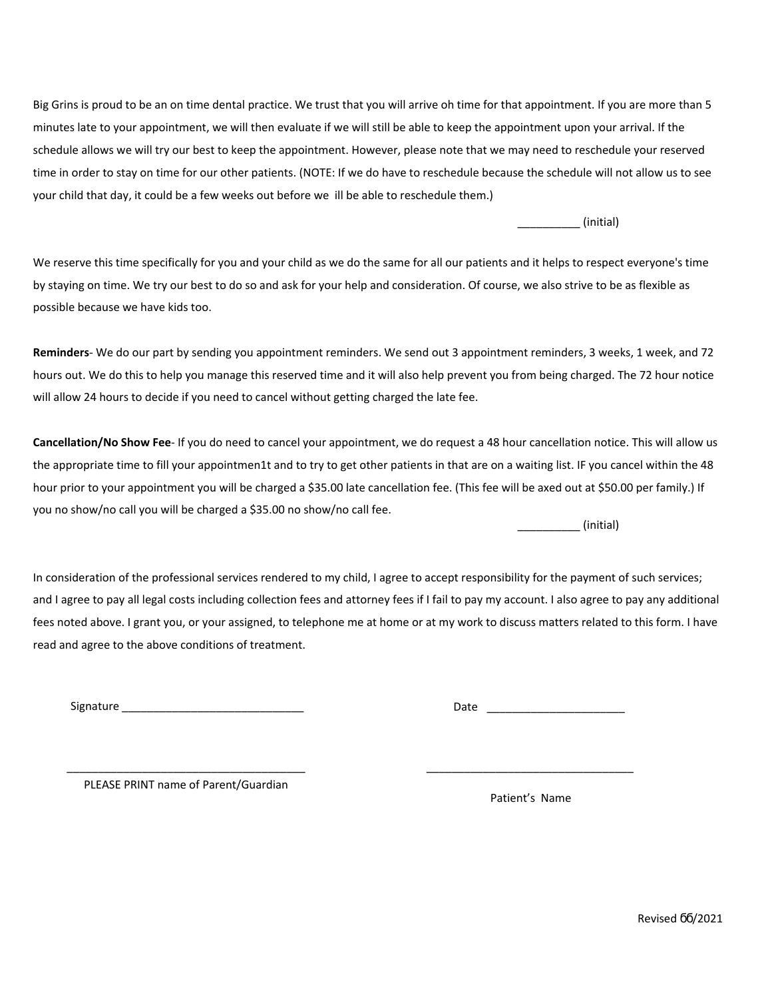Big Grins is proud to be an on time dental practice. We trust that you will arrive oh time for that appointment. If you are more than 5 minutes late to your appointment, we will then evaluate if we will still be able to keep the appointment upon your arrival. If the schedule allows we will try our best to keep the appointment. However, please note that we may need to reschedule your reserved time in order to stay on time for our other patients. (NOTE: If we do have to reschedule because the schedule will not allow us to see your child that day, it could be a few weeks out before we ill be able to reschedule them.)

\_\_\_\_\_\_\_\_\_\_ (initial)

We reserve this time specifically for you and your child as we do the same for all our patients and it helps to respect everyone's time by staying on time. We try our best to do so and ask for your help and consideration. Of course, we also strive to be as flexible as possible because we have kids too.

Reminders- We do our part by sending you appointment reminders. We send out 3 appointment reminders, 3 weeks, 1 week, and 72 hours out. We do this to help you manage this reserved time and it will also help prevent you from being charged. The 72 hour notice will allow 24 hours to decide if you need to cancel without getting charged the late fee.

**Cancellation/No Show Fee**- If you do need to cancel your appointment, we do request a 48 hour cancellation notice. This will allow us the appropriate time to fill your appointmen1t and to try to get other patients in that are on a waiting list. IF you cancel within the 48 hour prior to your appointment you will be charged a \$35.00 late cancellation fee. (This fee will be axed out at \$50.00 per family.) If you no show/no call you will be charged a \$35.00 no show/no call fee.

 $(n$ initial)

In consideration of the professional services rendered to my child, I agree to accept responsibility for the payment of such services; and I agree to pay all legal costs including collection fees and attorney fees if I fail to pay my account. I also agree to pay any additional fees noted above. I grant you, or your assigned, to telephone me at home or at my work to discuss matters related to this form. I have read and agree to the above conditions of treatment.

Signature \_\_\_\_\_\_\_\_\_\_\_\_\_\_\_\_\_\_\_\_\_\_\_\_\_\_\_\_\_

Date \_\_\_\_\_\_\_\_\_\_\_\_\_\_\_\_\_\_\_\_\_\_

\_\_\_\_\_\_\_\_\_\_\_\_\_\_\_\_\_\_\_\_\_\_\_\_\_\_\_\_\_\_\_\_\_\_\_\_\_\_ PLEASE PRINT name of Parent/Guardian

Patient's Name

\_\_\_\_\_\_\_\_\_\_\_\_\_\_\_\_\_\_\_\_\_\_\_\_\_\_\_\_\_\_\_\_\_